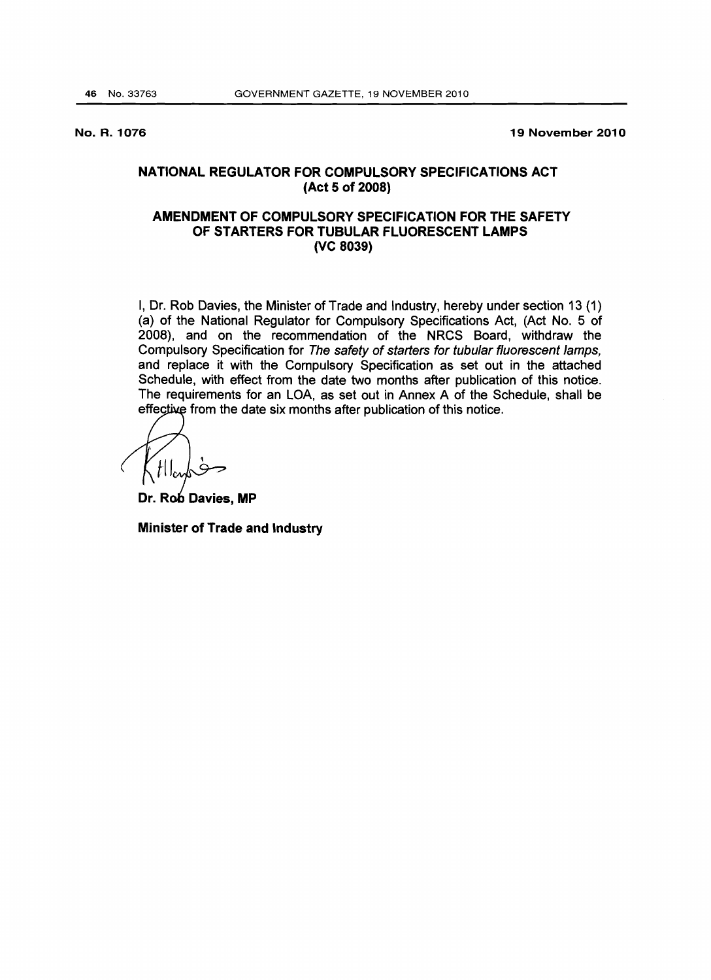No. R. 1076

19 November 2010

# NATIONAL REGULATOR FOR COMPULSORY SPECIFICATIONS ACT (Act 5 of 2008)

# AMENDMENT OF COMPULSORY SPECIFICATION FOR THE SAFETY OF STARTERS FOR TUBULAR FLUORESCENT LAMPS (VC 8039)

I, Dr. Rob Davies, the Minister of Trade and Industry, hereby under section 13 (1) (a) of the National Regulator for Compulsory Specifications Act, (Act No.5 of 2008), and on the recommendation of the NRCS Board, withdraw the Compulsory Specification for The safety of starters for tubular fluorescent lamps, and replace it with the Compulsory Specification as set out in the attached Schedule, with effect from the date two months after publication of this notice. The requirements for an LOA, as set out in Annex A of the Schedule, shall be effective from the date six months after publication of this notice.

Dr. Rob Davies, MP

Minister of Trade and Industry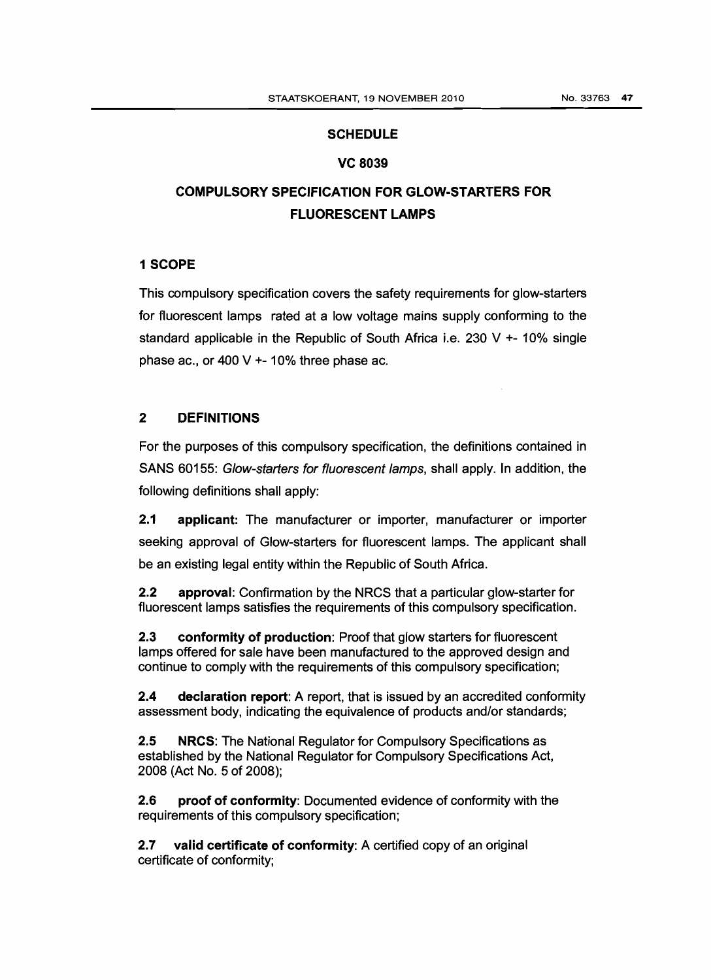## **SCHEDULE**

#### VC 8039

# COMPULSORY SPECIFICATION FOR GLOW-STARTERS FOR FLUORESCENT LAMPS

## 1 SCOPE

This compulsory specification covers the safety requirements for glow-starters for fluorescent lamps rated at a low voltage mains supply conforming to the standard applicable in the Republic of South Africa i.e. 230 V  $+$ - 10% single phase ac., or 400 V +- 10% three phase ac.

# 2 DEFINITIONS

For the purposes of this compulsory specification, the definitions contained in SANS 60155: Glow-starters for fluorescent lamps, shall apply. In addition, the following definitions shall apply:

2.1 applicant: The manufacturer or importer, manufacturer or importer seeking approval of Glow-starters for fluorescent lamps. The applicant shall be an existing legal entity within the Republic of South Africa.

2.2 approval: Confirmation by the NRCS that a particular glow-starter for fluorescent lamps satisfies the requirements of this compulsory specification.

2.3 conformity of production: Proof that glow starters for fluorescent lamps offered for sale have been manufactured to the approved design and continue to comply with the requirements of this compulsory specification;

2.4 declaration report: A report, that is issued by an accredited conformity assessment body, indicating the equivalence of products and/or standards;

2.5 NRCS: The National Regulator for Compulsory Specifications as established by the National Regulator for Compulsory Specifications Act, 2008 (Act No. 5 of 2008);

2.6 proof of conformity: Documented evidence of conformity with the requirements of this compulsory specification;

2.7 valid certificate of conformity: A certified copy of an original certificate of conformity;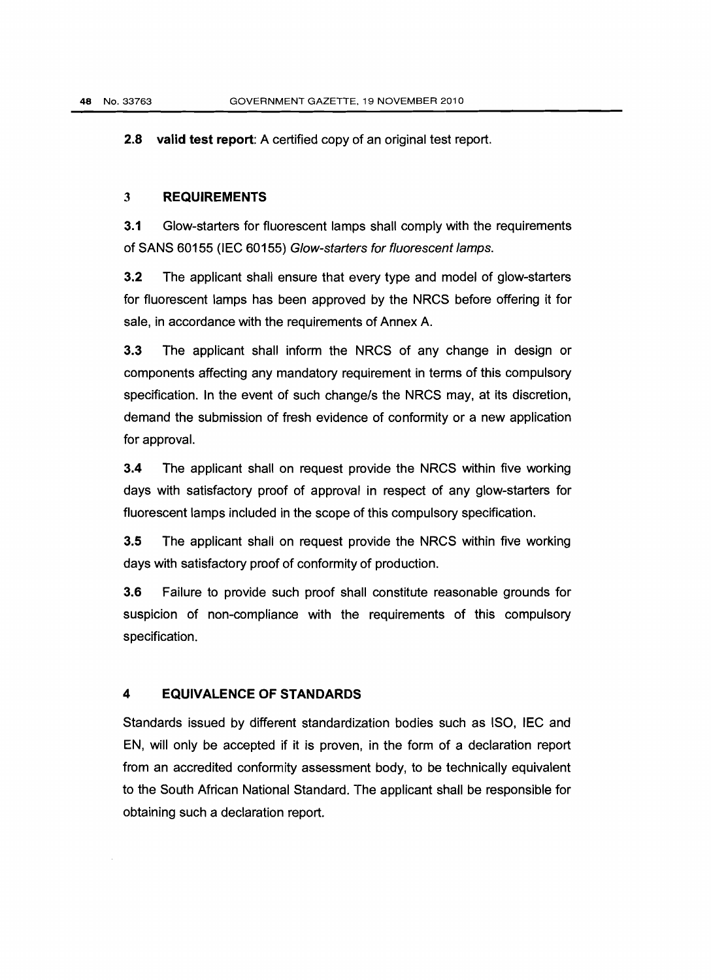2.8 valid test report: A certified copy of an original test report.

# 3 REQUIREMENTS

3.1 Glow-starters for fluorescent lamps shall comply with the requirements of SANS 60155 (IEC 60155) Glow-starters for fluorescent lamps.

3.2 The applicant shall ensure that every type and model of glow-starters for fluorescent lamps has been approved by the NRCS before offering it for sale, in accordance with the requirements of Annex A.

3.3 The applicant shall inform the NRCS of any change in design or components affecting any mandatory requirement in terms of this compulsory specification. In the event of such change/s the NRCS may, at its discretion, demand the submission of fresh evidence of conformity or a new application for approval.

3.4 The applicant shall on request provide the NRCS within five working days with satisfactory proof of approval in respect of any glow-starters for fluorescent lamps included in the scope of this compulsory specification.

3.5 The applicant shall on request provide the NRCS within five working days with satisfactory proof of conformity of production.

3.6 Failure to provide such proof shall constitute reasonable grounds for suspicion of non-compliance with the requirements of this compulsory specification.

## 4 EQUIVALENCE OF STANDARDS

Standards issued by different standardization bodies such as ISO, IEC and EN, will only be accepted if it is proven, in the form of a declaration report from an accredited conformity assessment body, to be technically equivalent to the South African National Standard. The applicant shall be responsible for obtaining such a declaration report.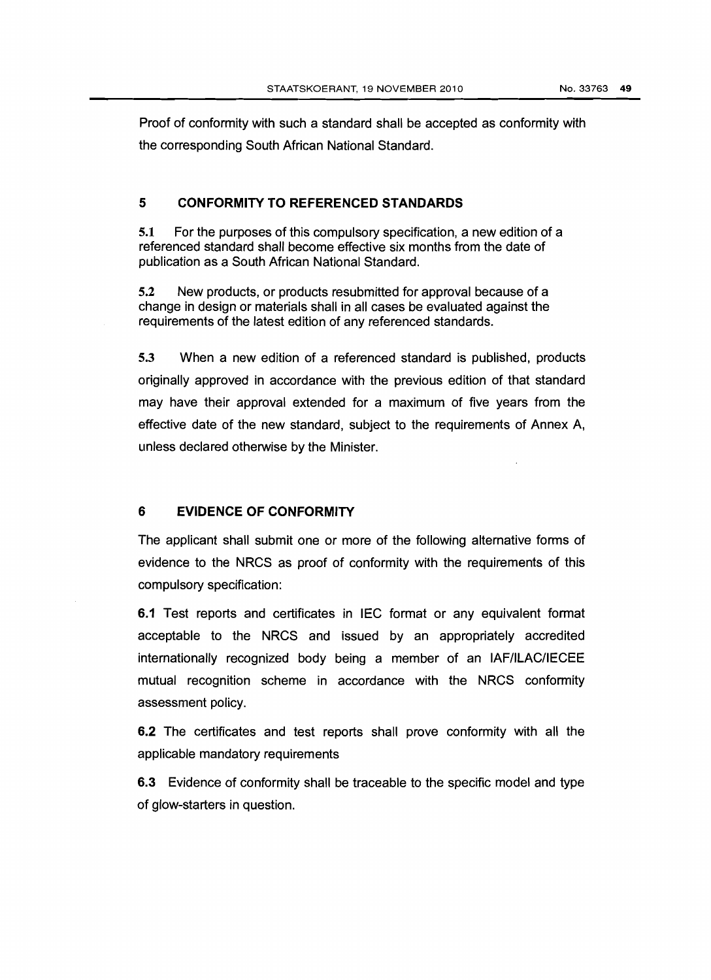Proof of conformity with such a standard shall be accepted as conformity with the corresponding South African National Standard.

### **5 CONFORMITY TO REFERENCED STANDARDS**

5.1 For the purposes of this compulsory specification, a new edition of a referenced standard shall become effective six months from the date of publication as a South African National Standard.

5.2 New products, or products resubmitted for approval because of a change in design or materials shall in all cases be evaluated against the requirements of the latest edition of any referenced standards.

5.3 When a new edition of a referenced standard is published, products originally approved in accordance with the previous edition of that standard may have their approval extended for a maximum of five years from the effective date of the new standard, subject to the requirements of Annex A, unless declared otherwise by the Minister.

### **6 EVIDENCE OF CONFORMITY**

The applicant shall submit one or more of the following alternative forms of evidence to the NRCS as proof of conformity with the requirements of this compulsory specification:

6.1 Test reports and certificates in IEC format or any equivalent format acceptable to the NRCS and issued by an appropriately accredited internationally recognized body being a member of an IAFIILAC/IECEE mutual recognition scheme in accordance with the NRCS conformity assessment policy.

6.2 The certificates and test reports shall prove conformity with all the applicable mandatory requirements

6.3 Evidence of conformity shall be traceable to the specific model and type of glow-starters in question.